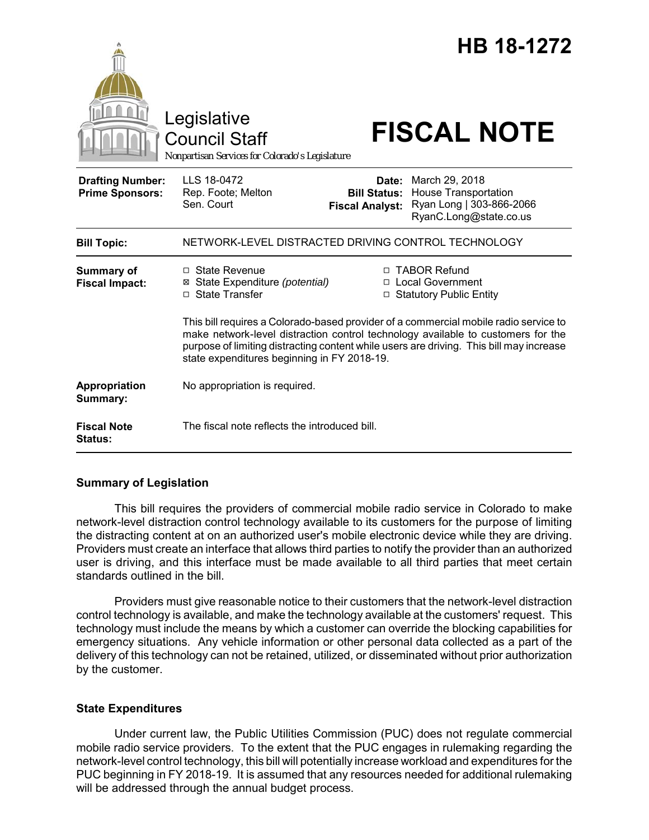|                                                   | Legislative<br><b>Council Staff</b><br>Nonpartisan Services for Colorado's Legislature                                                                                                                                                                                                                             |                                                        | HB 18-1272<br><b>FISCAL NOTE</b>                                                                    |
|---------------------------------------------------|--------------------------------------------------------------------------------------------------------------------------------------------------------------------------------------------------------------------------------------------------------------------------------------------------------------------|--------------------------------------------------------|-----------------------------------------------------------------------------------------------------|
| <b>Drafting Number:</b><br><b>Prime Sponsors:</b> | LLS 18-0472<br>Rep. Foote; Melton<br>Sen. Court                                                                                                                                                                                                                                                                    | Date:<br><b>Bill Status:</b><br><b>Fiscal Analyst:</b> | March 29, 2018<br><b>House Transportation</b><br>Ryan Long   303-866-2066<br>RyanC.Long@state.co.us |
| <b>Bill Topic:</b>                                | NETWORK-LEVEL DISTRACTED DRIVING CONTROL TECHNOLOGY                                                                                                                                                                                                                                                                |                                                        |                                                                                                     |
| <b>Summary of</b><br><b>Fiscal Impact:</b>        | $\Box$ State Revenue<br>⊠ State Expenditure (potential)<br>□ State Transfer                                                                                                                                                                                                                                        |                                                        | □ TABOR Refund<br>□ Local Government<br>□ Statutory Public Entity                                   |
|                                                   | This bill requires a Colorado-based provider of a commercial mobile radio service to<br>make network-level distraction control technology available to customers for the<br>purpose of limiting distracting content while users are driving. This bill may increase<br>state expenditures beginning in FY 2018-19. |                                                        |                                                                                                     |
| Appropriation<br>Summary:                         | No appropriation is required.                                                                                                                                                                                                                                                                                      |                                                        |                                                                                                     |
| <b>Fiscal Note</b><br><b>Status:</b>              | The fiscal note reflects the introduced bill.                                                                                                                                                                                                                                                                      |                                                        |                                                                                                     |

## **Summary of Legislation**

This bill requires the providers of commercial mobile radio service in Colorado to make network-level distraction control technology available to its customers for the purpose of limiting the distracting content at on an authorized user's mobile electronic device while they are driving. Providers must create an interface that allows third parties to notify the provider than an authorized user is driving, and this interface must be made available to all third parties that meet certain standards outlined in the bill.

Providers must give reasonable notice to their customers that the network-level distraction control technology is available, and make the technology available at the customers' request. This technology must include the means by which a customer can override the blocking capabilities for emergency situations. Any vehicle information or other personal data collected as a part of the delivery of this technology can not be retained, utilized, or disseminated without prior authorization by the customer.

## **State Expenditures**

Under current law, the Public Utilities Commission (PUC) does not regulate commercial mobile radio service providers. To the extent that the PUC engages in rulemaking regarding the network-level control technology, this bill will potentially increase workload and expenditures for the PUC beginning in FY 2018-19. It is assumed that any resources needed for additional rulemaking will be addressed through the annual budget process.